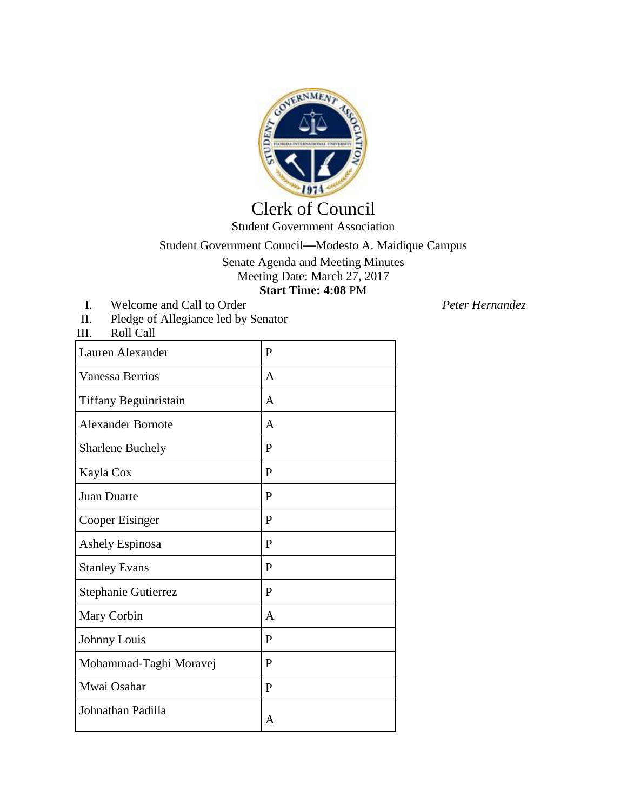

## Clerk of Council

Student Government Association

Student Government Council—Modesto A. Maidique Campus

Senate Agenda and Meeting Minutes Meeting Date: March 27, 2017 **Start Time: 4:08** PM

I. Welcome and Call to Order *Peter Hernandez*<br>II. Pledge of Allegiance led by Senator Pledge of Allegiance led by Senator

III. Roll Call

| Lauren Alexander         | P            |
|--------------------------|--------------|
| <b>Vanessa Berrios</b>   | A            |
| Tiffany Beguinristain    | $\mathsf{A}$ |
| <b>Alexander Bornote</b> | A            |
| <b>Sharlene Buchely</b>  | P            |
| Kayla Cox                | $\mathbf{P}$ |
| <b>Juan Duarte</b>       | P            |
| Cooper Eisinger          | $\mathbf{P}$ |
| Ashely Espinosa          | $\mathbf{P}$ |
| <b>Stanley Evans</b>     | P            |
| Stephanie Gutierrez      | P            |
| Mary Corbin              | A            |
| Johnny Louis             | P            |
| Mohammad-Taghi Moravej   | P            |
| Mwai Osahar              | P            |
| Johnathan Padilla        | A            |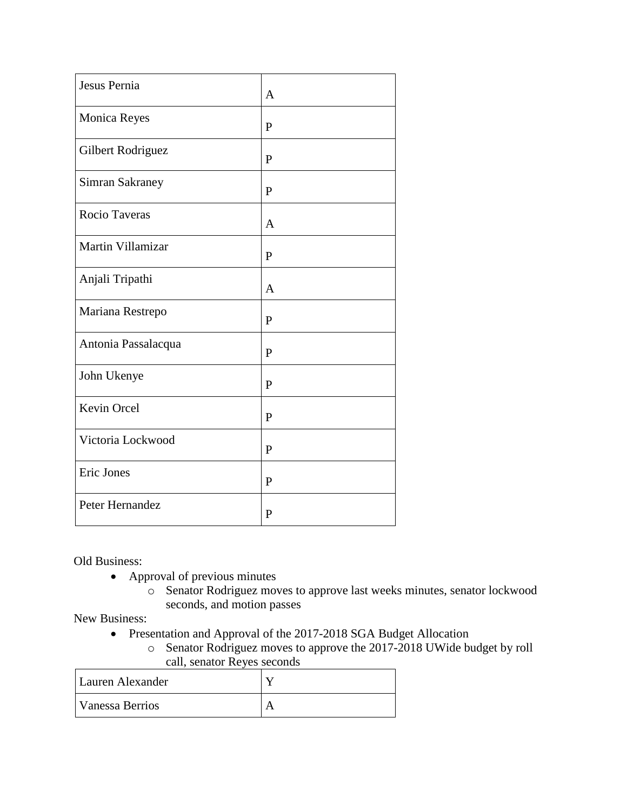| Jesus Pernia        | $\mathbf{A}$ |
|---------------------|--------------|
|                     |              |
| Monica Reyes        | $\mathbf{P}$ |
| Gilbert Rodriguez   | $\mathbf{P}$ |
| Simran Sakraney     | $\mathbf{P}$ |
| Rocio Taveras       | A            |
| Martin Villamizar   | $\mathbf{P}$ |
| Anjali Tripathi     | $\mathbf{A}$ |
| Mariana Restrepo    | P            |
| Antonia Passalacqua | $\mathbf{P}$ |
| John Ukenye         | $\mathbf{P}$ |
| Kevin Orcel         | $\mathbf{P}$ |
| Victoria Lockwood   | P            |
| Eric Jones          | $\mathbf{P}$ |
| Peter Hernandez     | $\mathbf{P}$ |

Old Business:

- Approval of previous minutes
	- o Senator Rodriguez moves to approve last weeks minutes, senator lockwood seconds, and motion passes

New Business:

- Presentation and Approval of the 2017-2018 SGA Budget Allocation
	- o Senator Rodriguez moves to approve the 2017-2018 UWide budget by roll call, senator Reyes seconds

| Lauren Alexander |  |
|------------------|--|
| Vanessa Berrios  |  |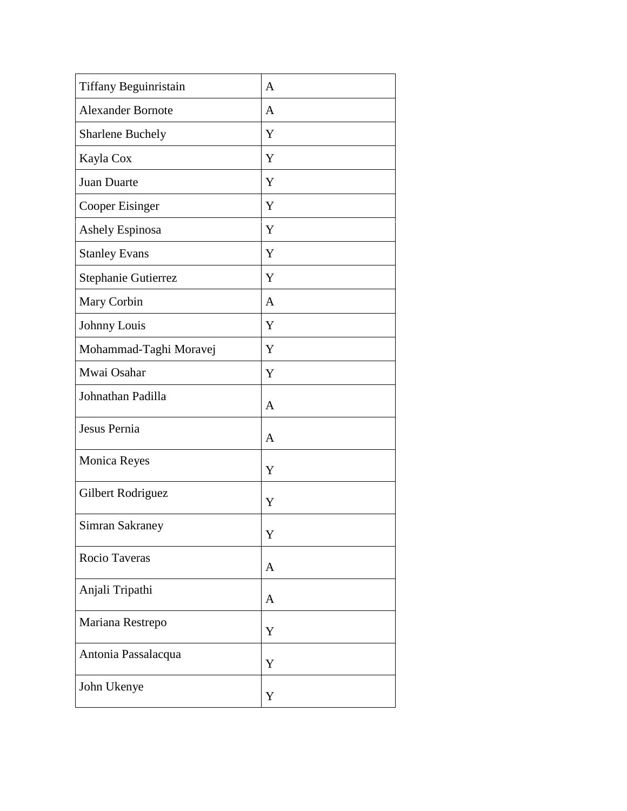| Tiffany Beguinristain    | $\mathbf{A}$ |
|--------------------------|--------------|
| <b>Alexander Bornote</b> | A            |
| Sharlene Buchely         | Y            |
| Kayla Cox                | Y            |
| Juan Duarte              | Y            |
| Cooper Eisinger          | Y            |
| Ashely Espinosa          | Y            |
| <b>Stanley Evans</b>     | Y            |
| Stephanie Gutierrez      | Y            |
| Mary Corbin              | $\mathbf{A}$ |
| Johnny Louis             | Y            |
| Mohammad-Taghi Moravej   | Y            |
| Mwai Osahar              | Y            |
| Johnathan Padilla        | $\mathbf{A}$ |
| Jesus Pernia             | $\mathbf{A}$ |
| Monica Reyes             | Y            |
| Gilbert Rodriguez        | Y            |
| Simran Sakraney          | Y            |
| Rocio Taveras            | $\mathbf{A}$ |
| Anjali Tripathi          | $\mathbf{A}$ |
| Mariana Restrepo         | Y            |
| Antonia Passalacqua      | Y            |
| John Ukenye              | Y            |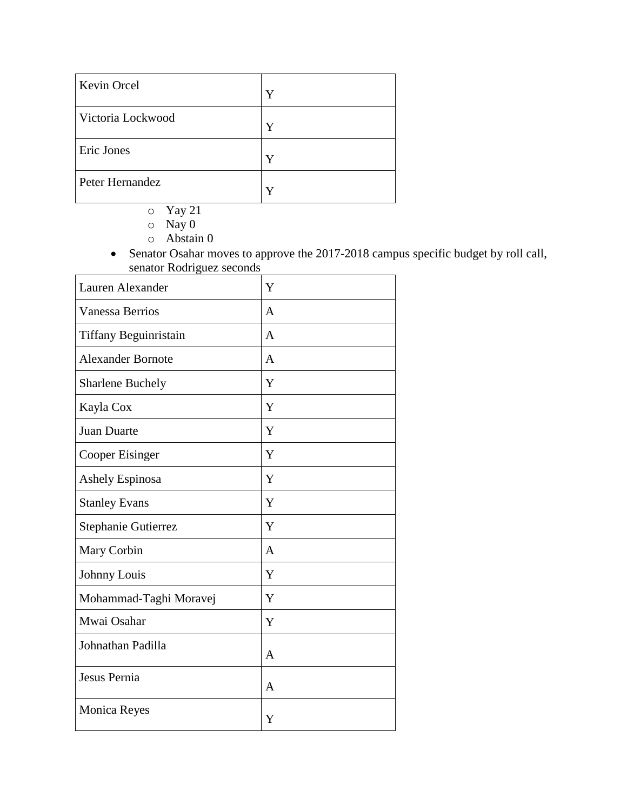| <b>Kevin Orcel</b> | Y |
|--------------------|---|
| Victoria Lockwood  | Y |
| Eric Jones         |   |
| Peter Hernandez    |   |

- o Yay 21
- $\circ$  Nay 0
- o Abstain 0

• Senator Osahar moves to approve the 2017-2018 campus specific budget by roll call, senator Rodriguez seconds

| Lauren Alexander             | Y              |
|------------------------------|----------------|
| <b>Vanessa Berrios</b>       | A              |
| <b>Tiffany Beguinristain</b> | $\overline{A}$ |
| <b>Alexander Bornote</b>     | $\overline{A}$ |
| <b>Sharlene Buchely</b>      | Y              |
| Kayla Cox                    | Y              |
| Juan Duarte                  | Y              |
| Cooper Eisinger              | Y              |
| Ashely Espinosa              | Y              |
| <b>Stanley Evans</b>         | Y              |
| Stephanie Gutierrez          | Y              |
| Mary Corbin                  | $\overline{A}$ |
| Johnny Louis                 | Y              |
| Mohammad-Taghi Moravej       | Y              |
| Mwai Osahar                  | Y              |
| Johnathan Padilla            | $\mathbf{A}$   |
| Jesus Pernia                 | $\overline{A}$ |
| <b>Monica Reyes</b>          | Y              |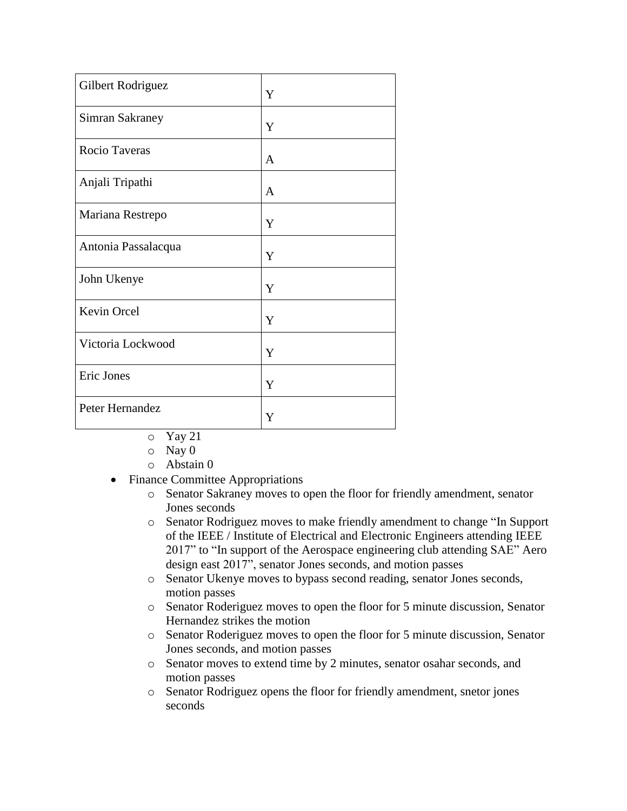| Gilbert Rodriguez   | Y |
|---------------------|---|
| Simran Sakraney     | Y |
| Rocio Taveras       | A |
| Anjali Tripathi     | A |
| Mariana Restrepo    | Y |
| Antonia Passalacqua | Y |
| John Ukenye         | Y |
| Kevin Orcel         | Y |
| Victoria Lockwood   | Y |
| Eric Jones          | Y |
| Peter Hernandez     | Y |

- o Yay 21
- o Nay 0
- o Abstain 0
- Finance Committee Appropriations
	- o Senator Sakraney moves to open the floor for friendly amendment, senator Jones seconds
	- o Senator Rodriguez moves to make friendly amendment to change "In Support of the IEEE / Institute of Electrical and Electronic Engineers attending IEEE 2017" to "In support of the Aerospace engineering club attending SAE" Aero design east 2017", senator Jones seconds, and motion passes
	- o Senator Ukenye moves to bypass second reading, senator Jones seconds, motion passes
	- o Senator Roderiguez moves to open the floor for 5 minute discussion, Senator Hernandez strikes the motion
	- o Senator Roderiguez moves to open the floor for 5 minute discussion, Senator Jones seconds, and motion passes
	- o Senator moves to extend time by 2 minutes, senator osahar seconds, and motion passes
	- o Senator Rodriguez opens the floor for friendly amendment, snetor jones seconds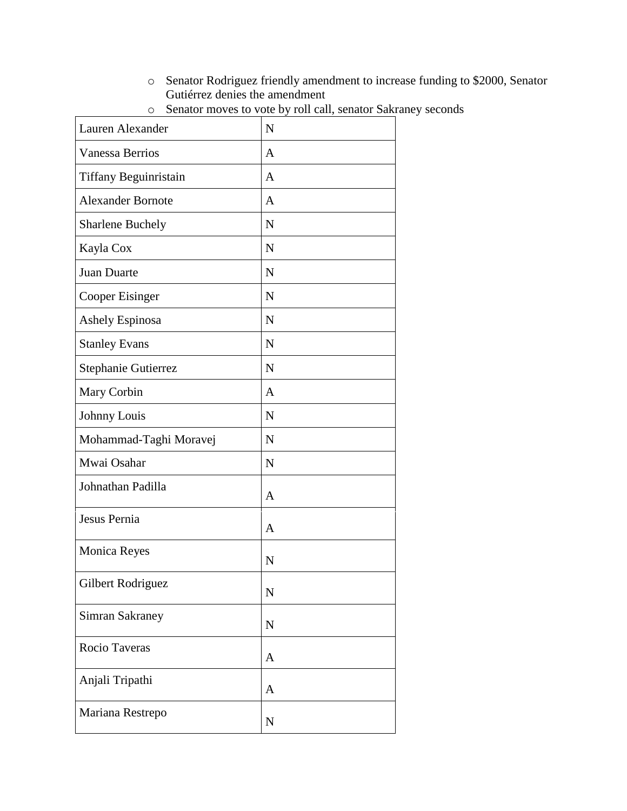o Senator Rodriguez friendly amendment to increase funding to \$2000, Senator Gutiérrez denies the amendment

| Lauren Alexander         | N            |
|--------------------------|--------------|
| <b>Vanessa Berrios</b>   | A            |
| Tiffany Beguinristain    | $\mathbf{A}$ |
| <b>Alexander Bornote</b> | $\mathbf{A}$ |
| <b>Sharlene Buchely</b>  | N            |
| Kayla Cox                | N            |
| Juan Duarte              | N            |
| Cooper Eisinger          | N            |
| Ashely Espinosa          | $\mathbf N$  |
| <b>Stanley Evans</b>     | $\mathbf N$  |
| Stephanie Gutierrez      | $\mathbf N$  |
| Mary Corbin              | A            |
| Johnny Louis             | $\mathbf N$  |
| Mohammad-Taghi Moravej   | $\mathbf N$  |
| Mwai Osahar              | $\mathbf N$  |
| Johnathan Padilla        | $\mathbf{A}$ |
| Jesus Pernia             | A            |
| <b>Monica Reyes</b>      | N            |
| Gilbert Rodriguez        | $\mathbf N$  |
| Simran Sakraney          | $\mathbf N$  |
| Rocio Taveras            | $\mathbf{A}$ |
| Anjali Tripathi          | A            |
| Mariana Restrepo         | $\mathbf N$  |

o Senator moves to vote by roll call, senator Sakraney seconds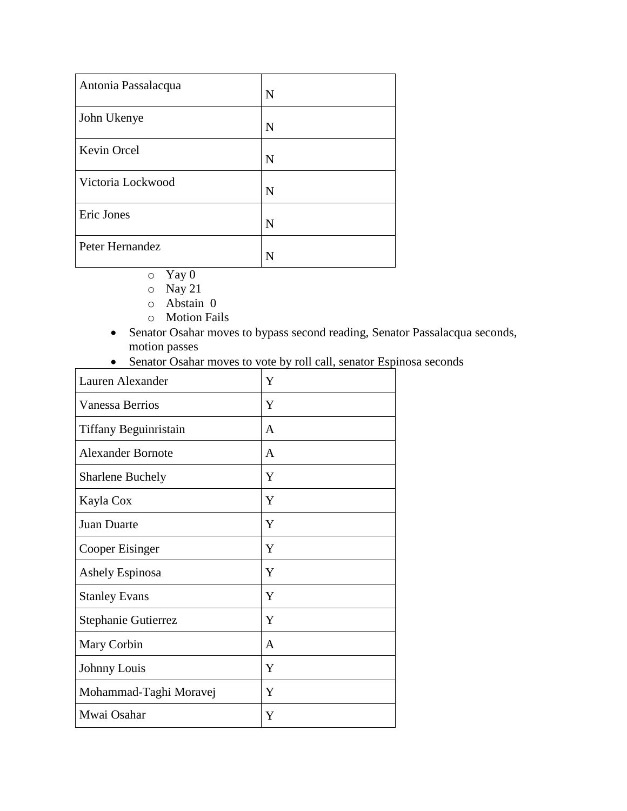| Antonia Passalacqua | N |
|---------------------|---|
| John Ukenye         | N |
| Kevin Orcel         | N |
| Victoria Lockwood   | N |
| Eric Jones          | N |
| Peter Hernandez     | N |

- o Yay 0
- o Nay 21
- o Abstain 0
- o Motion Fails
- Senator Osahar moves to bypass second reading, Senator Passalacqua seconds, motion passes
- Senator Osahar moves to vote by roll call, senator Espinosa seconds

| Lauren Alexander         | Y |
|--------------------------|---|
| <b>Vanessa Berrios</b>   | Y |
| Tiffany Beguinristain    | A |
| <b>Alexander Bornote</b> | A |
| <b>Sharlene Buchely</b>  | Y |
| Kayla Cox                | Y |
| <b>Juan Duarte</b>       | Y |
| Cooper Eisinger          | Y |
| Ashely Espinosa          | Y |
| <b>Stanley Evans</b>     | Y |
| Stephanie Gutierrez      | Y |
| Mary Corbin              | A |
| Johnny Louis             | Y |
| Mohammad-Taghi Moravej   | Y |
| Mwai Osahar              | Y |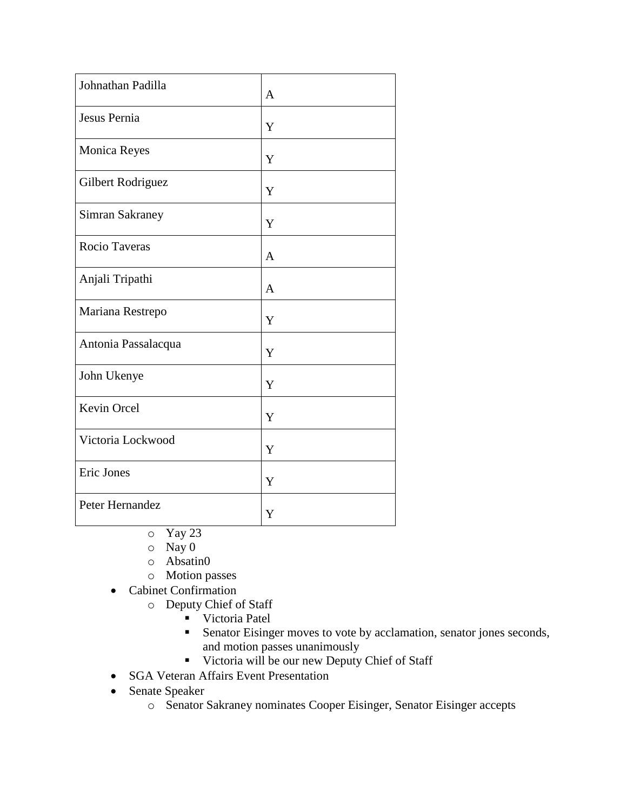| Johnathan Padilla   | A            |
|---------------------|--------------|
| Jesus Pernia        | Y            |
| <b>Monica Reyes</b> | Y            |
| Gilbert Rodriguez   | Y            |
| Simran Sakraney     | Y            |
| Rocio Taveras       | $\mathbf{A}$ |
| Anjali Tripathi     | A            |
| Mariana Restrepo    | Y            |
| Antonia Passalacqua | Y            |
| John Ukenye         | Y            |
| Kevin Orcel         | Y            |
| Victoria Lockwood   | Y            |
| Eric Jones          | Y            |
| Peter Hernandez     | Y            |

- o Yay 23
- o Nay 0
- o Absatin0
- o Motion passes
- Cabinet Confirmation
	- o Deputy Chief of Staff
		- **Victoria Patel**
		- **Senator Eisinger moves to vote by acclamation, senator jones seconds,** and motion passes unanimously
		- Victoria will be our new Deputy Chief of Staff
- SGA Veteran Affairs Event Presentation
- Senate Speaker
	- o Senator Sakraney nominates Cooper Eisinger, Senator Eisinger accepts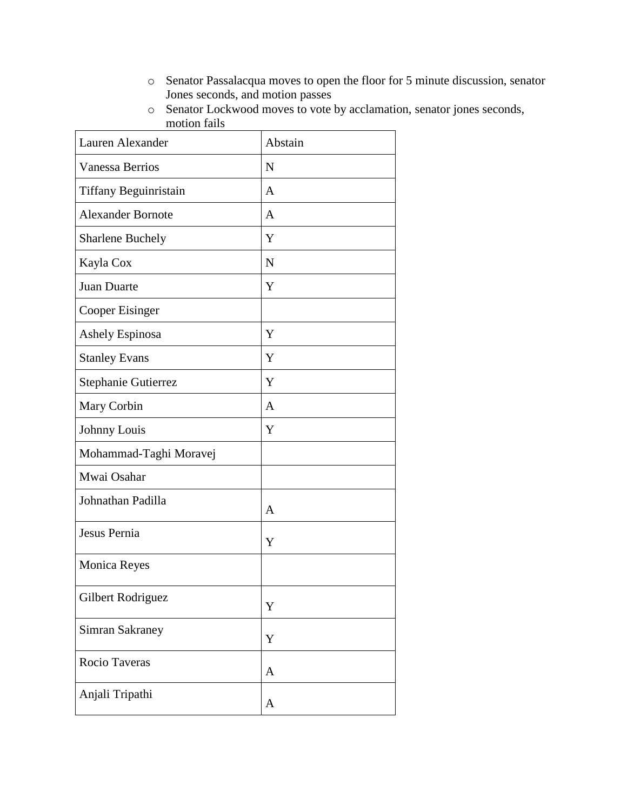- o Senator Passalacqua moves to open the floor for 5 minute discussion, senator Jones seconds, and motion passes
- o Senator Lockwood moves to vote by acclamation, senator jones seconds, motion fails

| Lauren Alexander         | Abstain        |
|--------------------------|----------------|
| <b>Vanessa Berrios</b>   | N              |
| Tiffany Beguinristain    | A              |
| <b>Alexander Bornote</b> | $\overline{A}$ |
| <b>Sharlene Buchely</b>  | Y              |
| Kayla Cox                | $\mathbf N$    |
| Juan Duarte              | Y              |
| Cooper Eisinger          |                |
| Ashely Espinosa          | Y              |
| <b>Stanley Evans</b>     | Y              |
| Stephanie Gutierrez      | Y              |
| Mary Corbin              | A              |
| Johnny Louis             | Y              |
| Mohammad-Taghi Moravej   |                |
| Mwai Osahar              |                |
| Johnathan Padilla        | A              |
| Jesus Pernia             | Y              |
| Monica Reyes             |                |
| Gilbert Rodriguez        | Y              |
| <b>Simran Sakraney</b>   | Y              |
| Rocio Taveras            | A              |
| Anjali Tripathi          | A              |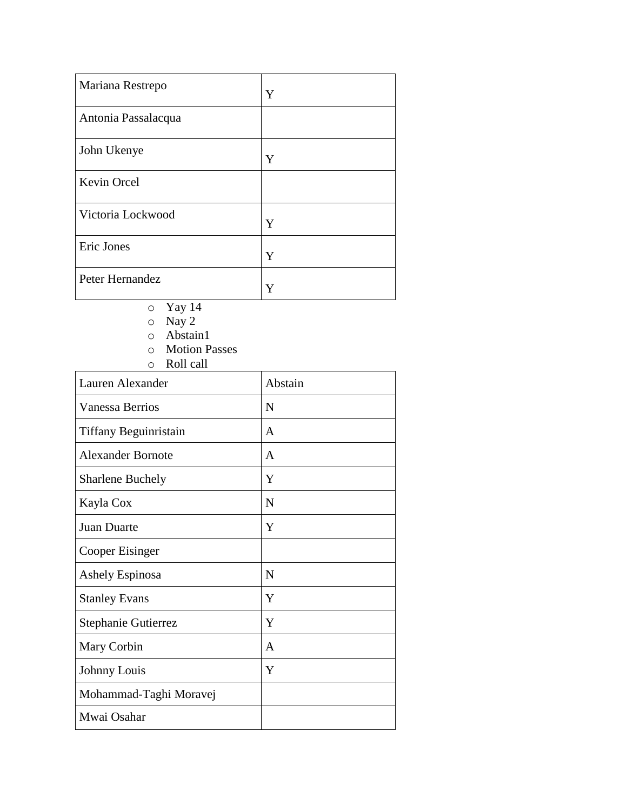| Mariana Restrepo    | Y |
|---------------------|---|
| Antonia Passalacqua |   |
| John Ukenye         | Y |
| Kevin Orcel         |   |
| Victoria Lockwood   | Y |
| Eric Jones          | Y |
| Peter Hernandez     | Y |

- o Yay 14
- o Nay 2
- o Abstain1
- o Motion Passes
- o Roll call

| Lauren Alexander         | Abstain      |
|--------------------------|--------------|
| <b>Vanessa Berrios</b>   | N            |
| Tiffany Beguinristain    | A            |
| <b>Alexander Bornote</b> | A            |
| <b>Sharlene Buchely</b>  | Y            |
| Kayla Cox                | N            |
| Juan Duarte              | Y            |
| Cooper Eisinger          |              |
| <b>Ashely Espinosa</b>   | N            |
| <b>Stanley Evans</b>     | Y            |
| Stephanie Gutierrez      | Y            |
| Mary Corbin              | $\mathsf{A}$ |
| Johnny Louis             | Y            |
| Mohammad-Taghi Moravej   |              |
| Mwai Osahar              |              |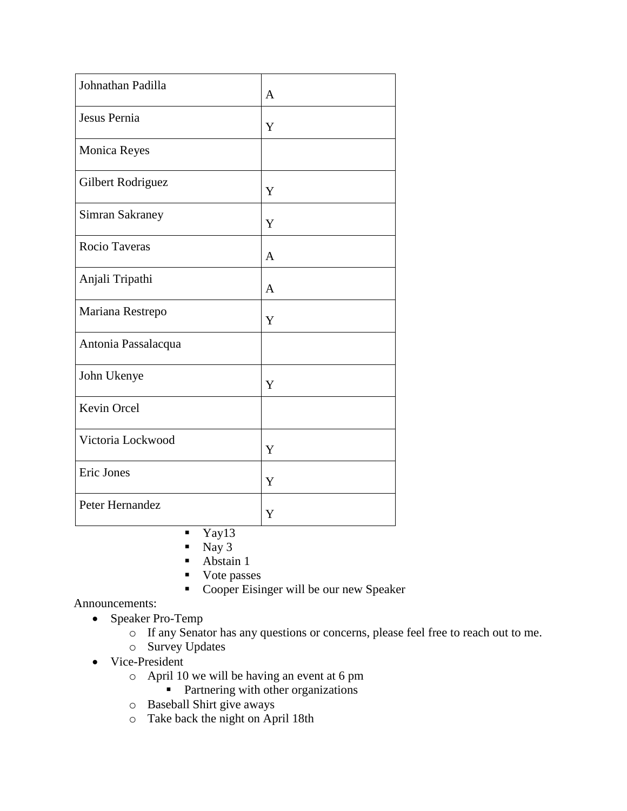| Johnathan Padilla      | $\mathbf{A}$ |
|------------------------|--------------|
| Jesus Pernia           | Y            |
| <b>Monica Reyes</b>    |              |
| Gilbert Rodriguez      | Y            |
| <b>Simran Sakraney</b> | Y            |
| Rocio Taveras          | $\mathbf{A}$ |
| Anjali Tripathi        | $\mathbf{A}$ |
| Mariana Restrepo       | Y            |
| Antonia Passalacqua    |              |
| John Ukenye            | Y            |
| Kevin Orcel            |              |
| Victoria Lockwood      | Y            |
| Eric Jones             | Y            |
| Peter Hernandez        | Y            |

 $\overline{\text{Yay13}}$ 

- $\blacksquare$  Nay 3
- Abstain 1
- Vote passes
- Cooper Eisinger will be our new Speaker

Announcements:

- Speaker Pro-Temp
	- o If any Senator has any questions or concerns, please feel free to reach out to me.
	- o Survey Updates
- Vice-President
	- o April 10 we will be having an event at 6 pm
		- **Partnering with other organizations**
	- o Baseball Shirt give aways
	- o Take back the night on April 18th